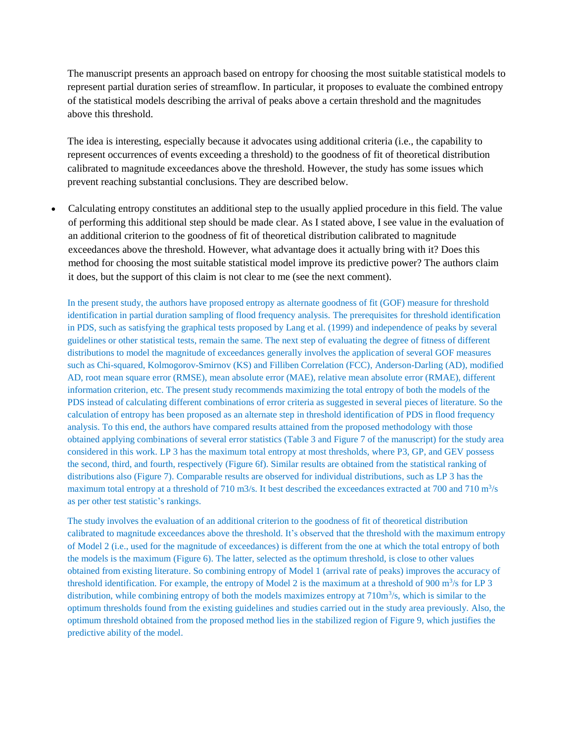The manuscript presents an approach based on entropy for choosing the most suitable statistical models to represent partial duration series of streamflow. In particular, it proposes to evaluate the combined entropy of the statistical models describing the arrival of peaks above a certain threshold and the magnitudes above this threshold.

The idea is interesting, especially because it advocates using additional criteria (i.e., the capability to represent occurrences of events exceeding a threshold) to the goodness of fit of theoretical distribution calibrated to magnitude exceedances above the threshold. However, the study has some issues which prevent reaching substantial conclusions. They are described below.

 Calculating entropy constitutes an additional step to the usually applied procedure in this field. The value of performing this additional step should be made clear. As I stated above, I see value in the evaluation of an additional criterion to the goodness of fit of theoretical distribution calibrated to magnitude exceedances above the threshold. However, what advantage does it actually bring with it? Does this method for choosing the most suitable statistical model improve its predictive power? The authors claim it does, but the support of this claim is not clear to me (see the next comment).

In the present study, the authors have proposed entropy as alternate goodness of fit (GOF) measure for threshold identification in partial duration sampling of flood frequency analysis. The prerequisites for threshold identification in PDS, such as satisfying the graphical tests proposed by Lang et al. (1999) and independence of peaks by several guidelines or other statistical tests, remain the same. The next step of evaluating the degree of fitness of different distributions to model the magnitude of exceedances generally involves the application of several GOF measures such as Chi-squared, Kolmogorov-Smirnov (KS) and Filliben Correlation (FCC), Anderson-Darling (AD), modified AD, root mean square error (RMSE), mean absolute error (MAE), relative mean absolute error (RMAE), different information criterion, etc. The present study recommends maximizing the total entropy of both the models of the PDS instead of calculating different combinations of error criteria as suggested in several pieces of literature. So the calculation of entropy has been proposed as an alternate step in threshold identification of PDS in flood frequency analysis. To this end, the authors have compared results attained from the proposed methodology with those obtained applying combinations of several error statistics (Table 3 and Figure 7 of the manuscript) for the study area considered in this work. LP 3 has the maximum total entropy at most thresholds, where P3, GP, and GEV possess the second, third, and fourth, respectively (Figure 6f). Similar results are obtained from the statistical ranking of distributions also (Figure 7). Comparable results are observed for individual distributions, such as LP 3 has the maximum total entropy at a threshold of 710 m3/s. It best described the exceedances extracted at 700 and 710 m<sup>3</sup>/s as per other test statistic's rankings.

The study involves the evaluation of an additional criterion to the goodness of fit of theoretical distribution calibrated to magnitude exceedances above the threshold. It's observed that the threshold with the maximum entropy of Model 2 (i.e., used for the magnitude of exceedances) is different from the one at which the total entropy of both the models is the maximum (Figure 6). The latter, selected as the optimum threshold, is close to other values obtained from existing literature. So combining entropy of Model 1 (arrival rate of peaks) improves the accuracy of threshold identification. For example, the entropy of Model 2 is the maximum at a threshold of 900  $\text{m}^3\text{/s}$  for LP 3 distribution, while combining entropy of both the models maximizes entropy at 710m<sup>3</sup>/s, which is similar to the optimum thresholds found from the existing guidelines and studies carried out in the study area previously. Also, the optimum threshold obtained from the proposed method lies in the stabilized region of Figure 9, which justifies the predictive ability of the model.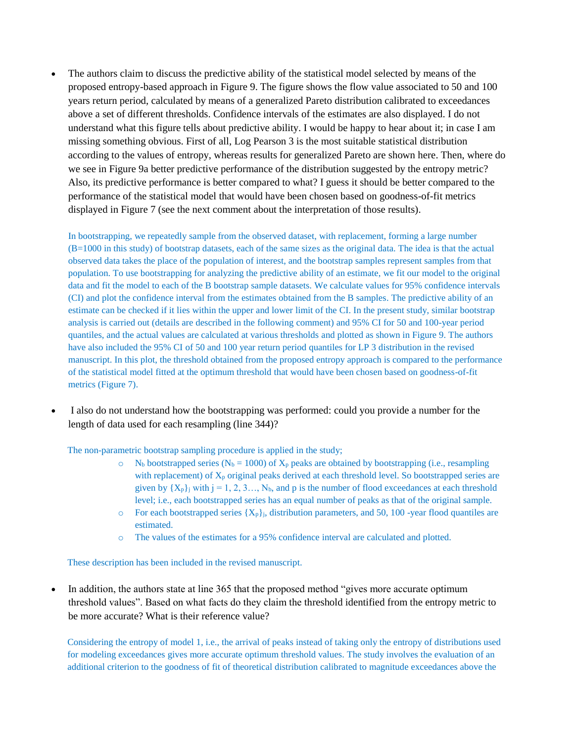The authors claim to discuss the predictive ability of the statistical model selected by means of the proposed entropy-based approach in Figure 9. The figure shows the flow value associated to 50 and 100 years return period, calculated by means of a generalized Pareto distribution calibrated to exceedances above a set of different thresholds. Confidence intervals of the estimates are also displayed. I do not understand what this figure tells about predictive ability. I would be happy to hear about it; in case I am missing something obvious. First of all, Log Pearson 3 is the most suitable statistical distribution according to the values of entropy, whereas results for generalized Pareto are shown here. Then, where do we see in Figure 9a better predictive performance of the distribution suggested by the entropy metric? Also, its predictive performance is better compared to what? I guess it should be better compared to the performance of the statistical model that would have been chosen based on goodness-of-fit metrics displayed in Figure 7 (see the next comment about the interpretation of those results).

In bootstrapping, we repeatedly sample from the observed dataset, with replacement, forming a large number (B=1000 in this study) of bootstrap datasets, each of the same sizes as the original data. The idea is that the actual observed data takes the place of the population of interest, and the bootstrap samples represent samples from that population. To use bootstrapping for analyzing the predictive ability of an estimate, we fit our model to the original data and fit the model to each of the B bootstrap sample datasets. We calculate values for 95% confidence intervals (CI) and plot the confidence interval from the estimates obtained from the B samples. The predictive ability of an estimate can be checked if it lies within the upper and lower limit of the CI. In the present study, similar bootstrap analysis is carried out (details are described in the following comment) and 95% CI for 50 and 100-year period quantiles, and the actual values are calculated at various thresholds and plotted as shown in Figure 9. The authors have also included the 95% CI of 50 and 100 year return period quantiles for LP 3 distribution in the revised manuscript. In this plot, the threshold obtained from the proposed entropy approach is compared to the performance of the statistical model fitted at the optimum threshold that would have been chosen based on goodness-of-fit metrics (Figure 7).

 I also do not understand how the bootstrapping was performed: could you provide a number for the length of data used for each resampling (line 344)?

The non-parametric bootstrap sampling procedure is applied in the study;

- $\circ$  N<sub>b</sub> bootstrapped series (N<sub>b</sub> = 1000) of X<sub>p</sub> peaks are obtained by bootstrapping (i.e., resampling with replacement) of  $X_p$  original peaks derived at each threshold level. So bootstrapped series are given by  $\{X_p\}$  with  $j = 1, 2, 3, \dots, N_b$ , and p is the number of flood exceedances at each threshold level; i.e., each bootstrapped series has an equal number of peaks as that of the original sample.
- $\circ$  For each bootstrapped series  $\{X_p\}$ , distribution parameters, and 50, 100 -year flood quantiles are estimated.
- o The values of the estimates for a 95% confidence interval are calculated and plotted.

These description has been included in the revised manuscript.

 In addition, the authors state at line 365 that the proposed method "gives more accurate optimum threshold values". Based on what facts do they claim the threshold identified from the entropy metric to be more accurate? What is their reference value?

Considering the entropy of model 1, i.e., the arrival of peaks instead of taking only the entropy of distributions used for modeling exceedances gives more accurate optimum threshold values. The study involves the evaluation of an additional criterion to the goodness of fit of theoretical distribution calibrated to magnitude exceedances above the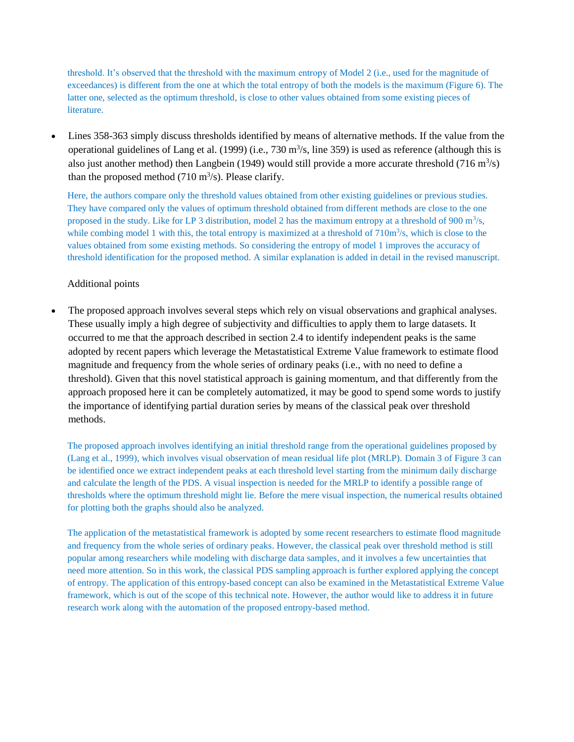threshold. It's observed that the threshold with the maximum entropy of Model 2 (i.e., used for the magnitude of exceedances) is different from the one at which the total entropy of both the models is the maximum (Figure 6). The latter one, selected as the optimum threshold, is close to other values obtained from some existing pieces of literature.

 Lines 358-363 simply discuss thresholds identified by means of alternative methods. If the value from the operational guidelines of Lang et al. (1999) (i.e.,  $730 \text{ m}^3/\text{s}$ , line 359) is used as reference (although this is also just another method) then Langbein (1949) would still provide a more accurate threshold (716 m<sup>3</sup>/s) than the proposed method  $(710 \text{ m}^3/\text{s})$ . Please clarify.

Here, the authors compare only the threshold values obtained from other existing guidelines or previous studies. They have compared only the values of optimum threshold obtained from different methods are close to the one proposed in the study. Like for LP 3 distribution, model 2 has the maximum entropy at a threshold of 900 m<sup>3</sup>/s, while combing model 1 with this, the total entropy is maximized at a threshold of  $710<sup>m3</sup>/s$ , which is close to the values obtained from some existing methods. So considering the entropy of model 1 improves the accuracy of threshold identification for the proposed method. A similar explanation is added in detail in the revised manuscript.

## Additional points

 The proposed approach involves several steps which rely on visual observations and graphical analyses. These usually imply a high degree of subjectivity and difficulties to apply them to large datasets. It occurred to me that the approach described in section 2.4 to identify independent peaks is the same adopted by recent papers which leverage the Metastatistical Extreme Value framework to estimate flood magnitude and frequency from the whole series of ordinary peaks (i.e., with no need to define a threshold). Given that this novel statistical approach is gaining momentum, and that differently from the approach proposed here it can be completely automatized, it may be good to spend some words to justify the importance of identifying partial duration series by means of the classical peak over threshold methods.

The proposed approach involves identifying an initial threshold range from the operational guidelines proposed by (Lang et al., 1999), which involves visual observation of mean residual life plot (MRLP). Domain 3 of Figure 3 can be identified once we extract independent peaks at each threshold level starting from the minimum daily discharge and calculate the length of the PDS. A visual inspection is needed for the MRLP to identify a possible range of thresholds where the optimum threshold might lie. Before the mere visual inspection, the numerical results obtained for plotting both the graphs should also be analyzed.

The application of the metastatistical framework is adopted by some recent researchers to estimate flood magnitude and frequency from the whole series of ordinary peaks. However, the classical peak over threshold method is still popular among researchers while modeling with discharge data samples, and it involves a few uncertainties that need more attention. So in this work, the classical PDS sampling approach is further explored applying the concept of entropy. The application of this entropy-based concept can also be examined in the Metastatistical Extreme Value framework, which is out of the scope of this technical note. However, the author would like to address it in future research work along with the automation of the proposed entropy-based method.